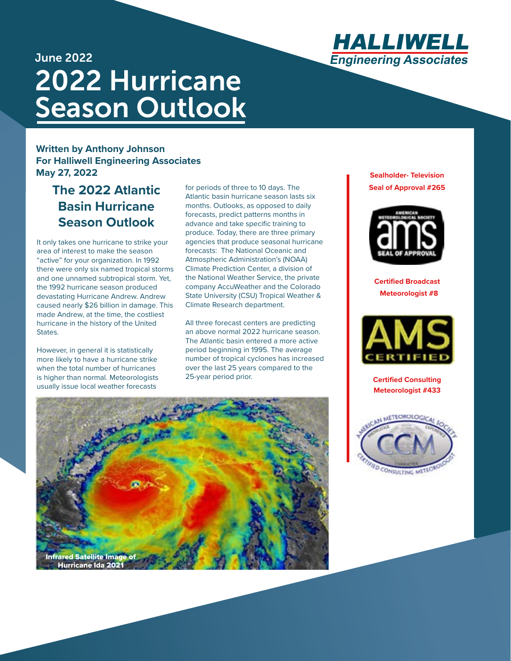

## June 2022 2022 Hurricane Season Outlook

#### **Written by Anthony Johnson For Halliwell Engineering Associates May 27, 2022**

## **The 2022 Atlantic Basin Hurricane Season Outlook**

It only takes one hurricane to strike your area of interest to make the season "active" for your organization. In 1992 there were only six named tropical storms and one unnamed subtropical storm. Yet, the 1992 hurricane season produced devastating Hurricane Andrew. Andrew caused nearly \$26 billion in damage. This made Andrew, at the time, the costliest hurricane in the history of the United States.

However, in general it is statistically more likely to have a hurricane strike when the total number of hurricanes is higher than normal. Meteorologists usually issue local weather forecasts

for periods of three to 10 days. The Atlantic basin hurricane season lasts six months. Outlooks, as opposed to daily forecasts, predict patterns months in advance and take specific training to produce. Today, there are three primary agencies that produce seasonal hurricane forecasts: The National Oceanic and Atmospheric Administration's (NOAA) Climate Prediction Center, a division of the National Weather Service, the private company AccuWeather and the Colorado State University (CSU) Tropical Weather & Climate Research department.

All three forecast centers are predicting an above normal 2022 hurricane season. The Atlantic basin entered a more active period beginning in 1995. The average number of tropical cyclones has increased over the last 25 years compared to the 25-year period prior.





**Certified Broadcast Meteorologist #8**



**Certified Consulting Meteorologist #433**



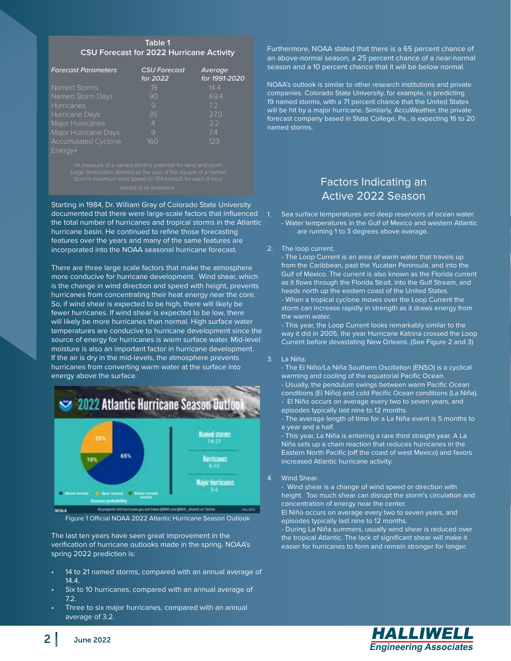#### **Table 1 CSU Forecast for 2022 Hurricane Activity**

| <b>Forecast Parameters</b> | <b>CSU Forecast</b> | <b>Average</b> |
|----------------------------|---------------------|----------------|
|                            | for 2022            | for 1991-2020  |
| Named Storms               | 19                  | 14.4           |
| Named Storm Days           | 90                  | 69.4           |
| Hurricanes                 | 9                   | 72             |
| Hurricane Days             | 35                  | 27.0           |
| Major Hurricanes           | 4                   | 32             |
| Major Hurricane Days       | 9                   | 74             |
| <b>Accumulated Cyclone</b> | 160                 | 123            |
| Fnerav+                    |                     |                |

Starting in 1984, Dr. William Gray of Colorado State University documented that there were large-scale factors that influenced the total number of hurricanes and tropical storms in the Atlantic hurricane basin. He continued to refine those forecasting features over the years and many of the same features are incorporated into the NOAA seasonal hurricane forecast.

There are three large scale factors that make the atmosphere more conducive for hurricane development. Wind shear, which is the change in wind direction and speed with height, prevents hurricanes from concentrating their heat energy near the core. So, if wind shear is expected to be high, there will likely be fewer hurricanes. If wind shear is expected to be low, there will likely be more hurricanes than normal. High surface water temperatures are conducive to hurricane development since the source of energy for hurricanes is warm surface water. Mid-level moisture is also an important factor in hurricane development. If the air is dry in the mid-levels, the atmosphere prevents hurricanes from converting warm water at the surface into energy above the surface.



Figure 1 Official NOAA 2022 Atlantic Hurricane Season Outlook

The last ten years have seen great improvement in the verification of hurricane outlooks made in the spring. NOAA's spring 2022 prediction is:

- 14 to 21 named storms, compared with an annual average of 14.4.
- Six to 10 hurricanes, compared with an annual average of 7.2.
- Three to six major hurricanes, compared with an annual average of 3.2.

Furthermore, NOAA stated that there is a 65 percent chance of an above-normal season, a 25 percent chance of a near-normal season and a 10 percent chance that it will be below normal.

NOAA's outlook is similar to other research institutions and private companies. Colorado State University, for example, is predicting 19 named storms, with a 71 percent chance that the United States will be hit by a major hurricane. Similarly, AccuWeather, the private forecast company based in State College, Pa., is expecting 16 to 20 named storms.

### Factors Indicating an Active 2022 Season

Sea surface temperatures and deep reservoirs of ocean water. - Water temperatures in the Gulf of Mexico and western Atlantic are running 1 to 3 degrees above average.

#### 2. The loop current.

- The Loop Current is an area of warm water that travels up from the Caribbean, past the Yucatan Peninsula, and into the Gulf of Mexico. The current is also known as the Florida current as it flows through the Florida Strait, into the Gulf Stream, and heads north up the eastern coast of the United States. - When a tropical cyclone moves over the Loop Current the storm can increase rapidly in strength as it draws energy from the warm water.

- This year, the Loop Current looks remarkably similar to the way it did in 2005, the year Hurricane Katrina crossed the Loop Current before devastating New Orleans. (See Figure 2 and 3)

#### 3. La Niña.

- The El Niño/La Niña Southern Oscillation (ENSO) is a cyclical warming and cooling of the equatorial Pacific Ocean.

- Usually, the pendulum swings between warm Pacific Ocean
- conditions (El Niño) and cold Pacific Ocean conditions (La Niña). - El Niño occurs on average every two to seven years, and
- episodes typically last nine to 12 months.

- The average length of time for a La Niña event is 5 months to a year and a half.

- This year, La Niña is entering a rare third straight year. A La Niña sets up a chain reaction that reduces hurricanes in the Eastern North Pacific (off the coast of west Mexico) and favors increased Atlantic hurricane activity.

#### 4. Wind Shear.

- Wind shear is a change of wind speed or direction with height. Too much shear can disrupt the storm's circulation and concentration of energy near the center.

El Niño occurs on average every two to seven years, and episodes typically last nine to 12 months.

- During La Niña summers, usually wind shear is reduced over the tropical Atlantic. The lack of significant shear will make it easier for hurricanes to form and remain stronger for longer.